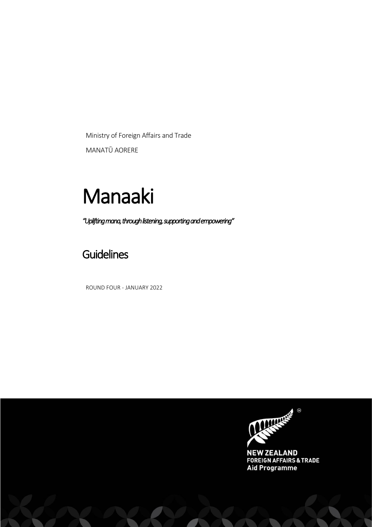Ministry of Foreign Affairs and Trade MANATŪ AORERE

# Manaaki

*"Uplifting mana, through listening, supporting and empowering"*

**Guidelines** 

ROUND FOUR - JANUARY 2022



**Aid Programme**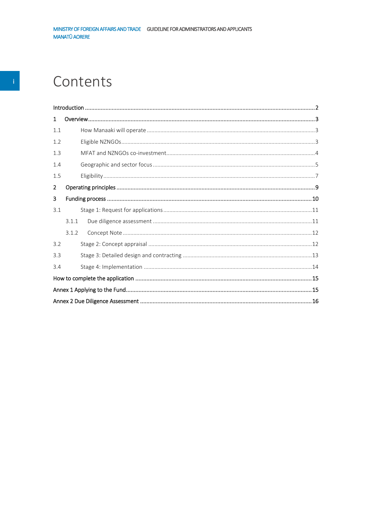## Contents

| $\mathbf{1}$ |       |  |
|--------------|-------|--|
| 1.1          |       |  |
| 1.2          |       |  |
| 1.3          |       |  |
| 1.4          |       |  |
| 1.5          |       |  |
| 2            |       |  |
| 3            |       |  |
| 3.1          |       |  |
|              | 3.1.1 |  |
|              | 3.1.2 |  |
| 3.2          |       |  |
| 3.3          |       |  |
| 3.4          |       |  |
|              |       |  |
|              |       |  |
|              |       |  |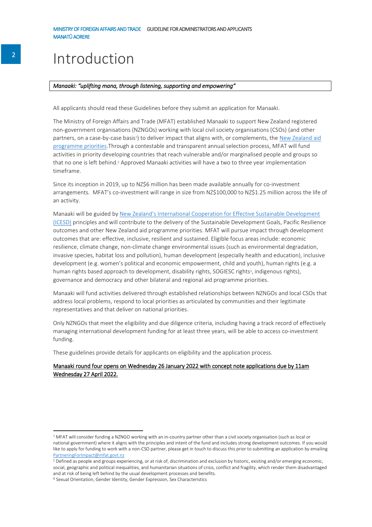#### MINISTRY OF FOREIGN AFFAIRS AND TRADE GUIDELINE FOR ADMINISTRATORS AND APPLICANTS MANATŪ AORERE

## Introduction

#### *Manaaki: "uplifting mana, through listening, supporting and empowering"*

All applicants should read these Guidelines before they submit an application for Manaaki.

The Ministry of Foreign Affairs and Trade (MFAT) established Manaaki to support New Zealand registered non-government organisations (NZNGOs) working with local civil society organisations (CSOs) (and other partners, on a case-by-case basis<sup>1</sup>) to deliver impact that aligns with, or complements, the New Zealand aid [programme priorities.](https://www.mfat.govt.nz/en/aid-and-development/our-approach-to-aid/our-priorities/)Through a contestable and transparent annual selection process, MFAT will fund activities in priority developing countries that reach vulnerable and/or marginalised people and groups so that no one is left behind. <sup>2</sup> Approved Manaaki activities will have a two to three year implementation timeframe.

Since its inception in 2019, up to NZ\$6 million has been made available annually for co-investment arrangements. MFAT's co-investment will range in size from NZ\$100,000 to NZ\$1.25 million across the life of an activity.

Manaaki will be guided by New Zealand's [International Cooperation for Effective Sustainable Development](https://www.mfat.govt.nz/en/aid-and-development/our-approach-to-aid/)  [\(ICESD\)](https://www.mfat.govt.nz/en/aid-and-development/our-approach-to-aid/) principles and will contribute to the delivery of the Sustainable Development Goals, Pacific Resilience outcomes and other New Zealand aid programme priorities. MFAT will pursue impact through development outcomes that are: effective, inclusive, resilient and sustained. Eligible focus areas include: economic resilience, climate change, non-climate change environmental issues (such as environmental degradation, invasive species, habitat loss and pollution), human development (especially health and education), inclusive development (e.g. women's political and economic empowerment, child and youth), human rights (e.g. a human rights based approach to development, disability rights, SOGIESC rights<sup>3</sup>, indigenous rights), governance and democracy and other bilateral and regional aid programme priorities.

Manaaki will fund activities delivered through established relationships between NZNGOs and local CSOs that address local problems, respond to local priorities as articulated by communities and their legitimate representatives and that deliver on national priorities.

Only NZNGOs that meet the eligibility and due diligence criteria, including having a track record of effectively managing international development funding for at least three years, will be able to access co-investment funding.

These guidelines provide details for applicants on eligibility and the application process.

#### Manaaki round four opens on Wednesday 26 January 2022 with concept note applications due by 11am Wednesday 27 April 2022.

 $1$  MFAT will consider funding a NZNGO working with an in-country partner other than a civil society organisation (such as local or national government) where it aligns with the principles and intent of the fund and includes strong development outcomes. If you would like to apply for funding to work with a non-CSO partner, please get in touch to discuss this prior to submitting an application by emailing [PartneringForImpact@mfat.govt.nz](mailto:PartneringForImpact@mfat.govt.nz)

<sup>&</sup>lt;sup>2</sup> Defined as people and groups experiencing, or at risk of, discrimination and exclusion by historic, existing and/or emerging economic, social, geographic and political inequalities, and humanitarian situations of crisis, conflict and fragility, which render them disadvantaged and at risk of being left behind by the usual development processes and benefits.

<sup>3</sup> Sexual Orientation, Gender Identity, Gender Expression, Sex Characteristics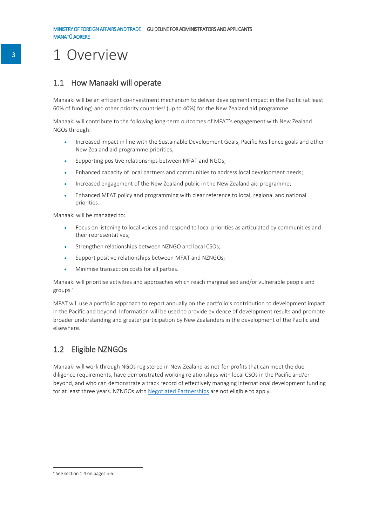## 1 Overview

### 1.1 How Manaaki will operate

Manaaki will be an efficient co-investment mechanism to deliver development impact in the Pacific (at least 60% of funding) and other priority countries<sup>4</sup> (up to 40%) for the New Zealand aid programme.

Manaaki will contribute to the following long-term outcomes of MFAT's engagement with New Zealand NGOs through:

- Increased impact in line with the Sustainable Development Goals, Pacific Resilience goals and other New Zealand aid programme priorities;
- Supporting positive relationships between MFAT and NGOs;
- Enhanced capacity of local partners and communities to address local development needs;
- Increased engagement of the New Zealand public in the New Zealand aid programme;
- Enhanced MFAT policy and programming with clear reference to local, regional and national priorities.

Manaaki will be managed to:

- Focus on listening to local voices and respond to local priorities as articulated by communities and their representatives;
- Strengthen relationships between NZNGO and local CSOs;
- Support positive relationships between MFAT and NZNGOs;
- Minimise transaction costs for all parties.

Manaaki will prioritise activities and approaches which reach marginalised and/or vulnerable people and groups. 5

MFAT will use a portfolio approach to report annually on the portfolio's contribution to development impact in the Pacific and beyond. Information will be used to provide evidence of development results and promote broader understanding and greater participation by New Zealanders in the development of the Pacific and elsewhere.

### 1.2 Eligible NZNGOs

Manaaki will work through NGOs registered in New Zealand as not-for-profits that can meet the due diligence requirements, have demonstrated working relationships with local CSOs in the Pacific and/or beyond, and who can demonstrate a track record of effectively managing international development funding for at least three years. NZNGOs with [Negotiated Partnerships](https://www.mfat.govt.nz/vn/aid-and-development/working-with-the-aid-programme/funding-opportunities/partnering-for-impact/negotiated-partnerships/) are not eligible to apply.

<sup>4</sup> See section 1.4 on pages 5-6.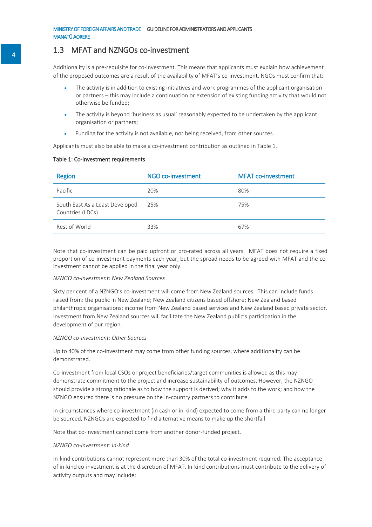### 1.3 MFAT and NZNGOs co-investment

Additionality is a pre-requisite for co-investment. This means that applicants must explain how achievement of the proposed outcomes are a result of the availability of MFAT's co-investment. NGOs must confirm that:

- The activity is in addition to existing initiatives and work programmes of the applicant organisation or partners – this may include a continuation or extension of existing funding activity that would not otherwise be funded;
- The activity is beyond 'business as usual' reasonably expected to be undertaken by the applicant organisation or partners;
- Funding for the activity is not available, nor being received, from other sources.

Applicants must also be able to make a co-investment contribution as outlined in Table 1.

#### Table 1: Co-investment requirements

| Region                                              | NGO co-investment | <b>MFAT</b> co-investment |
|-----------------------------------------------------|-------------------|---------------------------|
| Pacific                                             | 20%               | 80%                       |
| South East Asia Least Developed<br>Countries (LDCs) | 25%               | 75%                       |
| Rest of World                                       | 33%               | 67%                       |

Note that co-investment can be paid upfront or pro-rated across all years. MFAT does not require a fixed proportion of co-investment payments each year, but the spread needs to be agreed with MFAT and the coinvestment cannot be applied in the final year only.

#### *NZNGO co-investment: New Zealand Sources*

Sixty per cent of a NZNGO's co-investment will come from New Zealand sources. This can include funds raised from: the public in New Zealand; New Zealand citizens based offshore; New Zealand based philanthropic organisations; income from New Zealand based services and New Zealand based private sector. Investment from New Zealand sources will facilitate the New Zealand public's participation in the development of our region.

#### *NZNGO co-investment: Other Sources*

Up to 40% of the co-investment may come from other funding sources, where additionality can be demonstrated.

Co-investment from local CSOs or project beneficiaries/target communities is allowed as this may demonstrate commitment to the project and increase sustainability of outcomes. However, the NZNGO should provide a strong rationale as to how the support is derived; why it adds to the work; and how the NZNGO ensured there is no pressure on the in-country partners to contribute.

In circumstances where co-investment (in cash or in-kind) expected to come from a third party can no longer be sourced, NZNGOs are expected to find alternative means to make up the shortfall

Note that co-investment cannot come from another donor-funded project.

#### *NZNGO co-investment: In-kind*

In-kind contributions cannot represent more than 30% of the total co-investment required. The acceptance of in-kind co-investment is at the discretion of MFAT. In-kind contributions must contribute to the delivery of activity outputs and may include: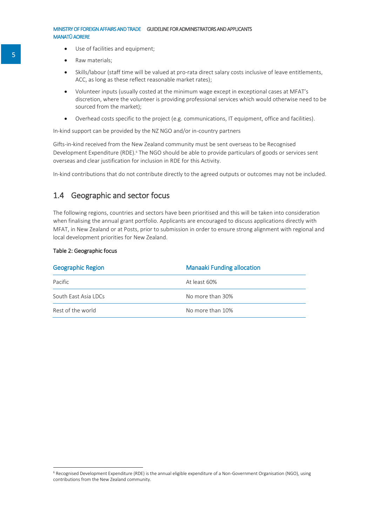#### MINISTRY OF FOREIGN AFFAIRS AND TRADE GUIDELINE FOR ADMINISTRATORS AND APPLICANTS MANATŪ AORERE

- Use of facilities and equipment;
- Raw materials;
- Skills/labour (staff time will be valued at pro-rata direct salary costs inclusive of leave entitlements, ACC, as long as these reflect reasonable market rates);
- Volunteer inputs (usually costed at the minimum wage except in exceptional cases at MFAT's discretion, where the volunteer is providing professional services which would otherwise need to be sourced from the market);
- Overhead costs specific to the project (e.g. communications, IT equipment, office and facilities).

In-kind support can be provided by the NZ NGO and/or in-country partners

Gifts-in-kind received from the New Zealand community must be sent overseas to be Recognised Development Expenditure (RDE).<sup>6</sup> The NGO should be able to provide particulars of goods or services sent overseas and clear justification for inclusion in RDE for this Activity.

In-kind contributions that do not contribute directly to the agreed outputs or outcomes may not be included.

### 1.4 Geographic and sector focus

The following regions, countries and sectors have been prioritised and this will be taken into consideration when finalising the annual grant portfolio. Applicants are encouraged to discuss applications directly with MFAT, in New Zealand or at Posts, prior to submission in order to ensure strong alignment with regional and local development priorities for New Zealand.

#### Table 2: Geographic focus

| <b>Geographic Region</b> | <b>Manaaki Funding allocation</b> |  |
|--------------------------|-----------------------------------|--|
| Pacific                  | At least 60%                      |  |
| South East Asia I DCs    | No more than 30%                  |  |
| Rest of the world        | No more than 10%                  |  |

<sup>6</sup> Recognised Development Expenditure (RDE) is the annual eligible expenditure of a Non-Government Organisation (NGO), using contributions from the New Zealand community.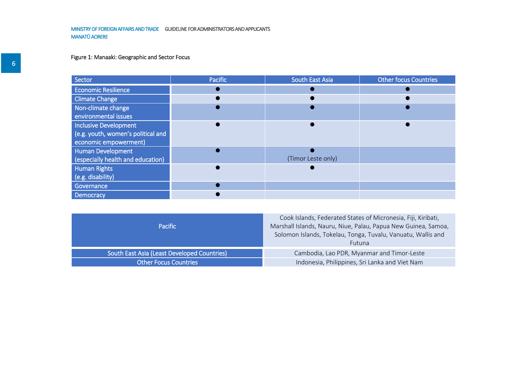MINISTRY OF FOREIGN AFFAIRS AND TRADE GUIDELINE FOR ADMINISTRATORS AND APPLICANTS MANATŪ AORERE

#### Figure 1: Manaaki: Geographic and Sector Focus

| Sector                             | <b>Pacific</b> | <b>South East Asia</b> | <b>Other focus Countries</b> |
|------------------------------------|----------------|------------------------|------------------------------|
| <b>Economic Resilience</b>         |                |                        |                              |
| <b>Climate Change</b>              |                |                        |                              |
| Non-climate change                 |                |                        |                              |
| environmental issues               |                |                        |                              |
| Inclusive Development              |                |                        |                              |
| (e.g. youth, women's political and |                |                        |                              |
| economic empowerment)              |                |                        |                              |
| <b>Human Development</b>           |                |                        |                              |
| (especially health and education)  |                | (Timor Leste only)     |                              |
| <b>Human Rights</b>                |                |                        |                              |
| (e.g. disability)                  |                |                        |                              |
| Governance                         |                |                        |                              |
| <b>Democracy</b>                   |                |                        |                              |

| <b>Pacific</b>                              | Cook Islands, Federated States of Micronesia, Fiji, Kiribati,<br>Marshall Islands, Nauru, Niue, Palau, Papua New Guinea, Samoa,<br>Solomon Islands, Tokelau, Tonga, Tuvalu, Vanuatu, Wallis and<br>Futuna |
|---------------------------------------------|-----------------------------------------------------------------------------------------------------------------------------------------------------------------------------------------------------------|
| South East Asia (Least Developed Countries) | Cambodia, Lao PDR, Myanmar and Timor-Leste                                                                                                                                                                |
| <b>Other Focus Countries</b>                | Indonesia, Philippines, Sri Lanka and Viet Nam                                                                                                                                                            |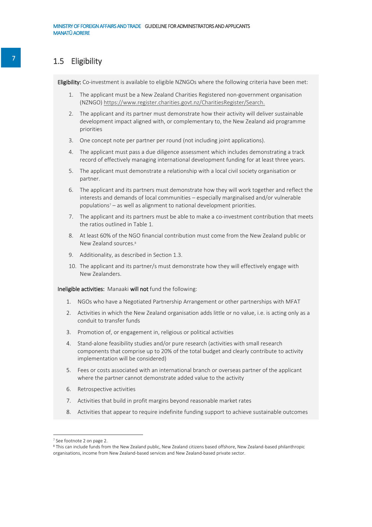### 1.5 Eligibility

Eligibility: Co-investment is available to eligible NZNGOs where the following criteria have been met:

- 1. The applicant must be a New Zealand Charities Registered non-government organisation (NZNGO) [https://www.register.charities.govt.nz/CharitiesRegister/Search.](https://www.register.charities.govt.nz/CharitiesRegister/Search)
- 2. The applicant and its partner must demonstrate how their activity will deliver sustainable development impact aligned with, or complementary to, the New Zealand aid programme priorities
- 3. One concept note per partner per round (not including joint applications).
- 4. The applicant must pass a due diligence assessment which includes demonstrating a track record of effectively managing international development funding for at least three years.
- 5. The applicant must demonstrate a relationship with a local civil society organisation or partner.
- 6. The applicant and its partners must demonstrate how they will work together and reflect the interests and demands of local communities – especially marginalised and/or vulnerable populations<sup>7</sup> – as well as alignment to national development priorities.
- 7. The applicant and its partners must be able to make a co-investment contribution that meets the ratios outlined in Table 1.
- 8. At least 60% of the NGO financial contribution must come from the New Zealand public or New Zealand sources.<sup>8</sup>
- 9. Additionality, as described in Section 1.3.
- 10. The applicant and its partner/s must demonstrate how they will effectively engage with New Zealanders.

#### Ineligible activities: Manaaki will not fund the following:

- 1. NGOs who have a Negotiated Partnership Arrangement or other partnerships with MFAT
- 2. Activities in which the New Zealand organisation adds little or no value, i.e. is acting only as a conduit to transfer funds
- 3. Promotion of, or engagement in, religious or political activities
- 4. Stand-alone feasibility studies and/or pure research (activities with small research components that comprise up to 20% of the total budget and clearly contribute to activity implementation will be considered)
- 5. Fees or costs associated with an international branch or overseas partner of the applicant where the partner cannot demonstrate added value to the activity
- 6. Retrospective activities
- 7. Activities that build in profit margins beyond reasonable market rates
- 8. Activities that appear to require indefinite funding support to achieve sustainable outcomes

<sup>7</sup> See footnote 2 on page 2.

<sup>8</sup> This can include funds from the New Zealand public, New Zealand citizens based offshore, New Zealand-based philanthropic organisations, income from New Zealand-based services and New Zealand-based private sector.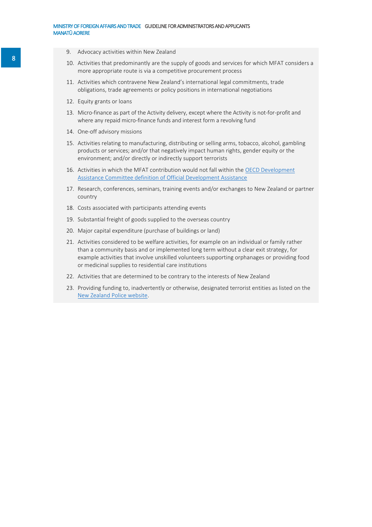- 9. Advocacy activities within New Zealand
- 10. Activities that predominantly are the supply of goods and services for which MFAT considers a more appropriate route is via a competitive procurement process
- 11. Activities which contravene New Zealand's international legal commitments, trade obligations, trade agreements or policy positions in international negotiations
- 12. Equity grants or loans
- 13. Micro-finance as part of the Activity delivery, except where the Activity is not-for-profit and where any repaid micro-finance funds and interest form a revolving fund
- 14. One-off advisory missions
- 15. Activities relating to manufacturing, distributing or selling arms, tobacco, alcohol, gambling products or services; and/or that negatively impact human rights, gender equity or the environment; and/or directly or indirectly support terrorists
- 16. Activities in which the MFAT contribution would not fall within th[e OECD Development](http://www.oecd.org/dac/stats/officialdevelopmentassistancedefinitionandcoverage.htm)  [Assistance Committee definition of Official Development Assistance](http://www.oecd.org/dac/stats/officialdevelopmentassistancedefinitionandcoverage.htm)
- 17. Research, conferences, seminars, training events and/or exchanges to New Zealand or partner country
- 18. Costs associated with participants attending events
- 19. Substantial freight of goods supplied to the overseas country
- 20. Major capital expenditure (purchase of buildings or land)
- 21. Activities considered to be welfare activities, for example on an individual or family rather than a community basis and or implemented long term without a clear exit strategy, for example activities that involve unskilled volunteers supporting orphanages or providing food or medicinal supplies to residential care institutions
- 22. Activities that are determined to be contrary to the interests of New Zealand
- 23. Providing funding to, inadvertently or otherwise, designated terrorist entities as listed on the [New Zealand Police website.](http://www.police.govt.nz/advice/personal-community/counterterrorism/designated-entities/lists-associated-with-resolutions-1267-1989-2253-1988)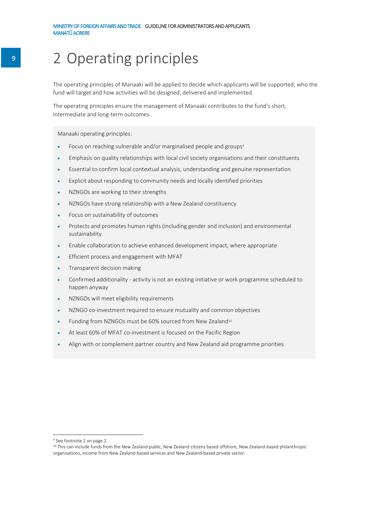## 2 Operating principles

The operating principles of Manaaki will be applied to decide which applicants will be supported, who the fund will target and how activities will be designed, delivered and implemented.

The operating principles ensure the management of Manaaki contributes to the fund's short, intermediate and long-term outcomes.

Manaaki operating principles:

- Focus on reaching vulnerable and/or marginalised people and groups<sup>9</sup>
- Emphasis on quality relationships with local civil society organisations and their constituents
- Essential to confirm local contextual analysis, understanding and genuine representation
- Explicit about responding to community needs and locally identified priorities
- NZNGOs are working to their strengths
- NZNGOs have strong relationship with a New Zealand constituency
- Focus on sustainability of outcomes
- Protects and promotes human rights (including gender and inclusion) and environmental sustainability
- Enable collaboration to achieve enhanced development impact, where appropriate
- Efficient process and engagement with MFAT
- Transparent decision making
- Confirmed additionality activity is not an existing initiative or work programme scheduled to happen anyway
- NZNGOs will meet eligibility requirements
- NZNGO co-investment required to ensure mutuality and common objectives
- Funding from NZNGOs must be 60% sourced from New Zealand<sup>10</sup>
- At least 60% of MFAT co-investment is focused on the Pacific Region
- Align with or complement partner country and New Zealand aid programme priorities

<sup>&</sup>lt;sup>9</sup> See footnote 2 on page 2.

<sup>&</sup>lt;sup>10</sup> This can include funds from the New Zealand public, New Zealand citizens based offshore, New Zealand-based philanthropic organisations, income from New Zealand-based services and New Zealand-based private sector.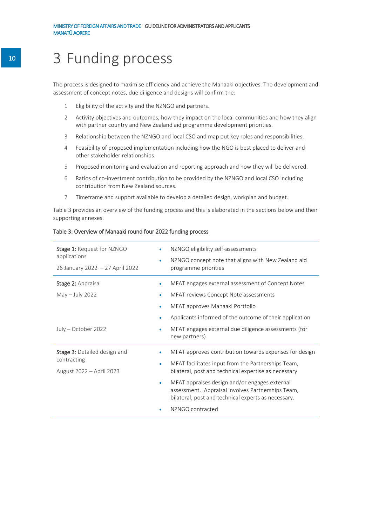## 3 Funding process

The process is designed to maximise efficiency and achieve the Manaaki objectives. The development and assessment of concept notes, due diligence and designs will confirm the:

- 1 Eligibility of the activity and the NZNGO and partners.
- 2 Activity objectives and outcomes, how they impact on the local communities and how they align with partner country and New Zealand aid programme development priorities.
- 3 Relationship between the NZNGO and local CSO and map out key roles and responsibilities.
- 4 Feasibility of proposed implementation including how the NGO is best placed to deliver and other stakeholder relationships.
- 5 Proposed monitoring and evaluation and reporting approach and how they will be delivered.
- 6 Ratios of co-investment contribution to be provided by the NZNGO and local CSO including contribution from New Zealand sources.
- 7 Timeframe and support available to develop a detailed design, workplan and budget.

Table 3 provides an overview of the funding process and this is elaborated in the sections below and their supporting annexes.

| Stage 1: Request for NZNGO<br>applications<br>26 January 2022 - 27 April 2022  | $\bullet$                     | NZNGO eligibility self-assessments<br>NZNGO concept note that aligns with New Zealand aid<br>programme priorities                                                                                                                                                                                                                                     |
|--------------------------------------------------------------------------------|-------------------------------|-------------------------------------------------------------------------------------------------------------------------------------------------------------------------------------------------------------------------------------------------------------------------------------------------------------------------------------------------------|
| <b>Stage 2: Appraisal</b><br>May - July 2022<br>July - October 2022            | ۰<br>$\bullet$<br>٠<br>۰<br>۰ | MFAT engages external assessment of Concept Notes<br><b>MFAT reviews Concept Note assessments</b><br>MFAT approves Manaaki Portfolio<br>Applicants informed of the outcome of their application<br>MFAT engages external due diligence assessments (for<br>new partners)                                                                              |
| <b>Stage 3:</b> Detailed design and<br>contracting<br>August 2022 – April 2023 | ٠<br>۰                        | MFAT approves contribution towards expenses for design<br>MFAT facilitates input from the Partnerships Team,<br>bilateral, post and technical expertise as necessary<br>MFAT appraises design and/or engages external<br>assessment. Appraisal involves Partnerships Team,<br>bilateral, post and technical experts as necessary.<br>NZNGO contracted |

#### Table 3: Overview of Manaaki round four 2022 funding process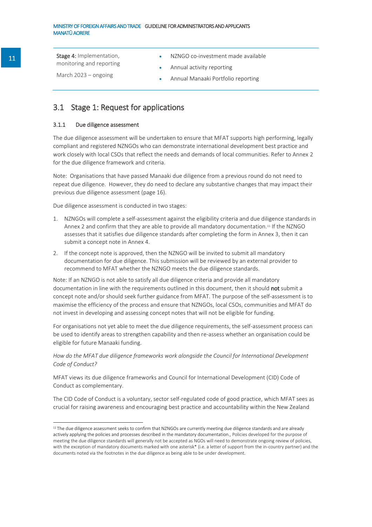| Stage 4: Implementation, | NZNGO co-investment made available |
|--------------------------|------------------------------------|
| monitoring and reporting | Annual activity reporting          |
| March $2023 -$ ongoing   | Annual Manaaki Portfolio reporting |

### 3.1 Stage 1: Request for applications

#### 3.1.1 Due diligence assessment

-

The due diligence assessment will be undertaken to ensure that MFAT supports high performing, legally compliant and registered NZNGOs who can demonstrate international development best practice and work closely with local CSOs that reflect the needs and demands of local communities. Refer to Annex 2 for the due diligence framework and criteria.

Note: Organisations that have passed Manaaki due diligence from a previous round do not need to repeat due diligence. However, they do need to declare any substantive changes that may impact their previous due diligence assessment (page 16).

Due diligence assessment is conducted in two stages:

- 1. NZNGOs will complete a self-assessment against the eligibility criteria and due diligence standards in Annex 2 and confirm that they are able to provide all mandatory documentation.<sup>11</sup> If the NZNGO assesses that it satisfies due diligence standards after completing the form in Annex 3, then it can submit a concept note in Annex 4.
- 2. If the concept note is approved, then the NZNGO will be invited to submit all mandatory documentation for due diligence. This submission will be reviewed by an external provider to recommend to MFAT whether the NZNGO meets the due diligence standards.

Note: If an NZNGO is not able to satisfy all due diligence criteria and provide all mandatory documentation in line with the requirements outlined in this document, then it should not submit a concept note and/or should seek further guidance from MFAT. The purpose of the self-assessment is to maximise the efficiency of the process and ensure that NZNGOs, local CSOs, communities and MFAT do not invest in developing and assessing concept notes that will not be eligible for funding.

For organisations not yet able to meet the due diligence requirements, the self-assessment process can be used to identify areas to strengthen capability and then re-assess whether an organisation could be eligible for future Manaaki funding.

*How do the MFAT due diligence frameworks work alongside the Council for International Development Code of Conduct?*

MFAT views its due diligence frameworks and Council for International Development (CID) Code of Conduct as complementary.

The CID Code of Conduct is a voluntary, sector self-regulated code of good practice, which MFAT sees as crucial for raising awareness and encouraging best practice and accountability within the New Zealand

 $11$  The due diligence assessment seeks to confirm that NZNGOs are currently meeting due diligence standards and are already actively applying the policies and processes described in the mandatory documentation., Policies developed for the purpose of meeting the due diligence standards will generally not be accepted as NGOs will need to demonstrate ongoing review of policies, with the exception of mandatory documents marked with one asterisk\* (i.e. a letter of support from the in-country partner) and the documents noted via the footnotes in the due diligence as being able to be under development.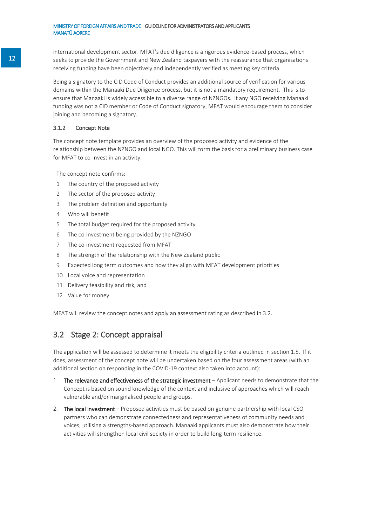#### MINISTRY OF FOREIGN AFFAIRS AND TRADE GUIDELINE FOR ADMINISTRATORS AND APPLICANTS MANATŪ AORERE

international development sector. MFAT's due diligence is a rigorous evidence-based process, which seeks to provide the Government and New Zealand taxpayers with the reassurance that organisations receiving funding have been objectively and independently verified as meeting key criteria.

Being a signatory to the CID Code of Conduct provides an additional source of verification for various domains within the Manaaki Due Diligence process, but it is not a mandatory requirement. This is to ensure that Manaaki is widely accessible to a diverse range of NZNGOs. If any NGO receiving Manaaki funding was not a CID member or Code of Conduct signatory, MFAT would encourage them to consider joining and becoming a signatory.

#### 3.1.2 Concept Note

The concept note template provides an overview of the proposed activity and evidence of the relationship between the NZNGO and local NGO. This will form the basis for a preliminary business case for MFAT to co-invest in an activity.

The concept note confirms:

- 1 The country of the proposed activity
- 2 The sector of the proposed activity
- 3 The problem definition and opportunity
- 4 Who will benefit
- 5 The total budget required for the proposed activity
- 6 The co-investment being provided by the NZNGO
- 7 The co-investment requested from MFAT
- 8 The strength of the relationship with the New Zealand public
- 9 Expected long term outcomes and how they align with MFAT development priorities
- 10 Local voice and representation
- 11 Delivery feasibility and risk, and
- 12 Value for money

MFAT will review the concept notes and apply an assessment rating as described in 3.2.

### 3.2 Stage 2: Concept appraisal

The application will be assessed to determine it meets the eligibility criteria outlined in section 1.5. If it does, assessment of the concept note will be undertaken based on the four assessment areas (with an additional section on responding in the COVID-19 context also taken into account):

- 1. The relevance and effectiveness of the strategic investment Applicant needs to demonstrate that the Concept is based on sound knowledge of the context and inclusive of approaches which will reach vulnerable and/or marginalised people and groups.
- 2. The local investment Proposed activities must be based on genuine partnership with local CSO partners who can demonstrate connectedness and representativeness of community needs and voices, utilising a strengths-based approach. Manaaki applicants must also demonstrate how their activities will strengthen local civil society in order to build long-term resilience.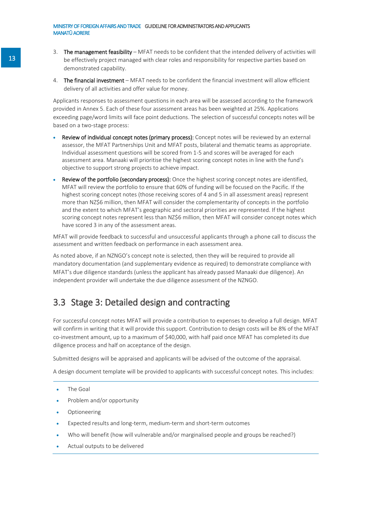- 3. The management feasibility MFAT needs to be confident that the intended delivery of activities will be effectively project managed with clear roles and responsibility for respective parties based on demonstrated capability.
- 4. The financial investment MFAT needs to be confident the financial investment will allow efficient delivery of all activities and offer value for money.

Applicants responses to assessment questions in each area will be assessed according to the framework provided in Annex 5. Each of these four assessment areas has been weighted at 25%. Applications exceeding page/word limits will face point deductions. The selection of successful concepts notes will be based on a two-stage process:

- Review of individual concept notes (primary process): Concept notes will be reviewed by an external assessor, the MFAT Partnerships Unit and MFAT posts, bilateral and thematic teams as appropriate. Individual assessment questions will be scored from 1-5 and scores will be averaged for each assessment area. Manaaki will prioritise the highest scoring concept notes in line with the fund's objective to support strong projects to achieve impact.
- Review of the portfolio (secondary process): Once the highest scoring concept notes are identified, MFAT will review the portfolio to ensure that 60% of funding will be focused on the Pacific. If the highest scoring concept notes (those receiving scores of 4 and 5 in all assessment areas) represent more than NZ\$6 million, then MFAT will consider the complementarity of concepts in the portfolio and the extent to which MFAT's geographic and sectoral priorities are represented. If the highest scoring concept notes represent less than NZ\$6 million, then MFAT will consider concept notes which have scored 3 in any of the assessment areas.

MFAT will provide feedback to successful and unsuccessful applicants through a phone call to discuss the assessment and written feedback on performance in each assessment area.

As noted above, if an NZNGO's concept note is selected, then they will be required to provide all mandatory documentation (and supplementary evidence as required) to demonstrate compliance with MFAT's due diligence standards (unless the applicant has already passed Manaaki due diligence). An independent provider will undertake the due diligence assessment of the NZNGO.

## 3.3 Stage 3: Detailed design and contracting

For successful concept notes MFAT will provide a contribution to expenses to develop a full design. MFAT will confirm in writing that it will provide this support. Contribution to design costs will be 8% of the MFAT co-investment amount, up to a maximum of \$40,000, with half paid once MFAT has completed its due diligence process and half on acceptance of the design.

Submitted designs will be appraised and applicants will be advised of the outcome of the appraisal.

A design document template will be provided to applicants with successful concept notes. This includes:

- The Goal
- Problem and/or opportunity
- Optioneering
- Expected results and long-term, medium-term and short-term outcomes
- Who will benefit (how will vulnerable and/or marginalised people and groups be reached?)
- Actual outputs to be delivered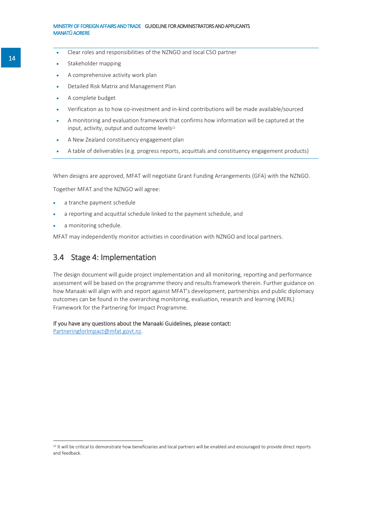- Clear roles and responsibilities of the NZNGO and local CSO partner
- Stakeholder mapping
- A comprehensive activity work plan
- Detailed Risk Matrix and Management Plan
- A complete budget
- Verification as to how co-investment and in-kind contributions will be made available/sourced
- A monitoring and evaluation framework that confirms how information will be captured at the input, activity, output and outcome levels<sup>12</sup>
- A New Zealand constituency engagement plan
- A table of deliverables (e.g. progress reports, acquittals and constituency engagement products)

When designs are approved, MFAT will negotiate Grant Funding Arrangements (GFA) with the NZNGO.

Together MFAT and the NZNGO will agree:

- a tranche payment schedule
- a reporting and acquittal schedule linked to the payment schedule, and
- a monitoring schedule.

MFAT may independently monitor activities in coordination with NZNGO and local partners.

### 3.4 Stage 4: Implementation

The design document will guide project implementation and all monitoring, reporting and performance assessment will be based on the programme theory and results framework therein. Further guidance on how Manaaki will align with and report against MFAT's development, partnerships and public diplomacy outcomes can be found in the overarching monitoring, evaluation, research and learning (MERL) Framework for the Partnering for Impact Programme.

#### If you have any questions about the Manaaki Guidelines, please contact: [PartneringforImpact@mfat.govt.nz.](mailto:PartneringforImpact@mfat.govt.nz)

 $12$  It will be critical to demonstrate how beneficiaries and local partners will be enabled and encouraged to provide direct reports and feedback.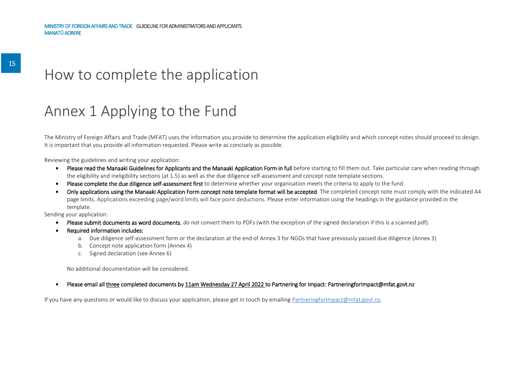## How to complete the application

## Annex 1 Applying to the Fund

The Ministry of Foreign Affairs and Trade (MFAT) uses the information you provide to determine the application eligibility and which concept notes should proceed to design. It is important that you provide all information requested. Please write as concisely as possible.

Reviewing the guidelines and writing your application:

- Please read the Manaaki Guidelines for Applicants and the Manaaki Application Form in full before starting to fill them out. Take particular care when reading through the eligibility and ineligibility sections (at 1.5) as well as the due diligence self-assessment and concept note template sections.
- Please complete the due diligence self-assessment first to determine whether your organisation meets the criteria to apply to the fund.
- Only applications using the Manaaki Application Form concept note template format will be accepted. The completed concept note must comply with the indicated A4 page limits. Applications exceeding page/word limits will face point deductions. Please enter information using the headings in the guidance provided in the template.

Sending your application:

- Please submit documents as word documents, *do not* convert them to PDFs (with the exception of the signed declaration if this is a scanned pdf).
- Required information includes:
	- a. Due diligence self-assessment form or the declaration at the end of Annex 3 for NGOs that have previously passed due diligence (Annex 3)
	- b. Concept note application form (Annex 4)
	- c. Signed declaration (see Annex 6)

No additional documentation will be considered.

#### Please email all three completed documents by 11am Wednesday 27 April 2022 to Partnering for Impact[: PartneringforImpact@mfat.govt.nz](mailto:PartneringforImpact@mfat.govt.nz)

If you have any questions or would like to discuss your application, please get in touch by emailin[g PartneringforImpact@mfat.govt.nz.](mailto:PartneringforImpact@mfat.govt.nz)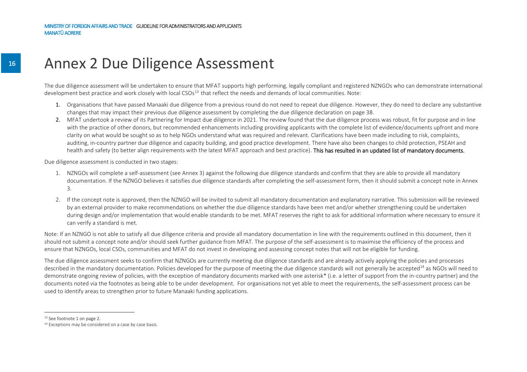## Annex 2 Due Diligence Assessment

The due diligence assessment will be undertaken to ensure that MFAT supports high performing, legally compliant and registered NZNGOs who can demonstrate international development best practice and work closely with local CSOs<sup>13</sup> that reflect the needs and demands of local communities. Note:

- 1. Organisations that have passed Manaaki due diligence from a previous round do not need to repeat due diligence. However, they do need to declare any substantive changes that may impact their previous due diligence assessment by completing the due diligence declaration on page 38.
- 2. MFAT undertook a review of its Partnering for Impact due diligence in 2021. The review found that the due diligence process was robust, fit for purpose and in line with the practice of other donors, but recommended enhancements including providing applicants with the complete list of evidence/documents upfront and more clarity on what would be sought so as to help NGOs understand what was required and relevant. Clarifications have been made including to risk, complaints, auditing, in-country partner due diligence and capacity building, and good practice development. There have also been changes to child protection, PSEAH and health and safety (to better align requirements with the latest MFAT approach and best practice). This has resulted in an updated list of mandatory documents.

Due diligence assessment is conducted in two stages:

- 1. NZNGOs will complete a self-assessment (see Annex 3) against the following due diligence standards and confirm that they are able to provide all mandatory documentation. If the NZNGO believes it satisfies due diligence standards after completing the self-assessment form, then it should submit a concept note in Annex 3.
- 2. If the concept note is approved, then the NZNGO will be invited to submit all mandatory documentation and explanatory narrative. This submission will be reviewed by an external provider to make recommendations on whether the due diligence standards have been met and/or whether strengthening could be undertaken during design and/or implementation that would enable standards to be met. MFAT reserves the right to ask for additional information where necessary to ensure it can verify a standard is met.

Note: If an NZNGO is not able to satisfy all due diligence criteria and provide all mandatory documentation in line with the requirements outlined in this document, then it should not submit a concept note and/or should seek further guidance from MFAT. The purpose of the self-assessment is to maximise the efficiency of the process and ensure that NZNGOs, local CSOs, communities and MFAT do not invest in developing and assessing concept notes that will not be eligible for funding.

The due diligence assessment seeks to confirm that NZNGOs are currently meeting due diligence standards and are already actively applying the policies and processes described in the mandatory documentation. Policies developed for the purpose of meeting the due diligence standards will not generally be accepted<sup>14</sup> as NGOs will need to demonstrate ongoing review of policies, with the exception of mandatory documents marked with one asterisk\* (i.e. a letter of support from the in-country partner) and the documents noted via the footnotes as being able to be under development. For organisations not yet able to meet the requirements, the self-assessment process can be used to identify areas to strengthen prior to future Manaaki funding applications.

<sup>13</sup> See footnote 1 on page 2.

<sup>&</sup>lt;sup>14</sup> Exceptions may be considered on a case by case basis.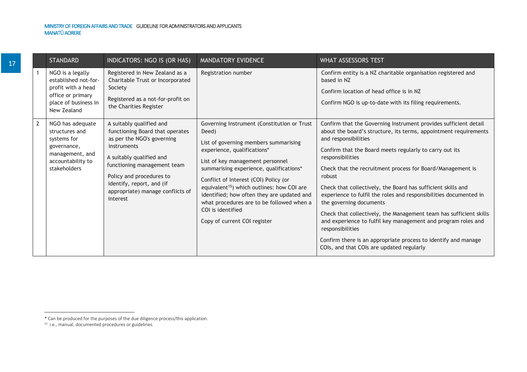17

|                | <b>STANDARD</b>                                                                                                            | INDICATORS: NGO IS (OR HAS)                                                                                                                                                                                                                                                  | MANDATORY EVIDENCE                                                                                                                                                                                                                                                                                                                                                                                                                                             | <b>WHAT ASSESSORS TEST</b>                                                                                                                                                                                                                                                                                                                                                                                                                                                                                                                                                                                                                                                                                                                                    |
|----------------|----------------------------------------------------------------------------------------------------------------------------|------------------------------------------------------------------------------------------------------------------------------------------------------------------------------------------------------------------------------------------------------------------------------|----------------------------------------------------------------------------------------------------------------------------------------------------------------------------------------------------------------------------------------------------------------------------------------------------------------------------------------------------------------------------------------------------------------------------------------------------------------|---------------------------------------------------------------------------------------------------------------------------------------------------------------------------------------------------------------------------------------------------------------------------------------------------------------------------------------------------------------------------------------------------------------------------------------------------------------------------------------------------------------------------------------------------------------------------------------------------------------------------------------------------------------------------------------------------------------------------------------------------------------|
|                | NGO is a legally<br>established not-for-<br>profit with a head<br>office or primary<br>place of business in<br>New Zealand | Registered in New Zealand as a<br>Charitable Trust or Incorporated<br>Society<br>Registered as a not-for-profit on<br>the Charities Register                                                                                                                                 | Registration number                                                                                                                                                                                                                                                                                                                                                                                                                                            | Confirm entity is a NZ charitable organisation registered and<br>based in NZ<br>Confirm location of head office is in NZ<br>Confirm NGO is up-to-date with its filing requirements.                                                                                                                                                                                                                                                                                                                                                                                                                                                                                                                                                                           |
| $\overline{2}$ | NGO has adequate<br>structures and<br>systems for<br>governance,<br>management, and<br>accountability to<br>stakeholders   | A suitably qualified and<br>functioning Board that operates<br>as per the NGO's governing<br>instruments<br>A suitably qualified and<br>functioning management team<br>Policy and procedures to<br>identify, report, and (if<br>appropriate) manage conflicts of<br>interest | Governing Instrument (Constitution or Trust<br>Deed)<br>List of governing members summarising<br>experience, qualifications*<br>List of key management personnel<br>summarising experience, qualifications*<br>Conflict of Interest (COI) Policy (or<br>equivalent <sup>15</sup> ) which outlines: how COI are<br>identified; how often they are updated and<br>what procedures are to be followed when a<br>COI is identified<br>Copy of current COI register | Confirm that the Governing Instrument provides sufficient detail<br>about the board's structure, its terms, appointment requirements<br>and responsibilities<br>Confirm that the Board meets regularly to carry out its<br>responsibilities<br>Check that the recruitment process for Board/Management is<br>robust<br>Check that collectively, the Board has sufficient skills and<br>experience to fulfil the roles and responsibilities documented in<br>the governing documents<br>Check that collectively, the Management team has sufficient skills<br>and experience to fulfil key management and program roles and<br>responsibilities<br>Confirm there is an appropriate process to identify and manage<br>COIs, and that COIs are updated regularly |

<sup>\*</sup> Can be produced for the purposes of the due diligence process/this application. 15 i.e., manual, documented procedures or guidelines.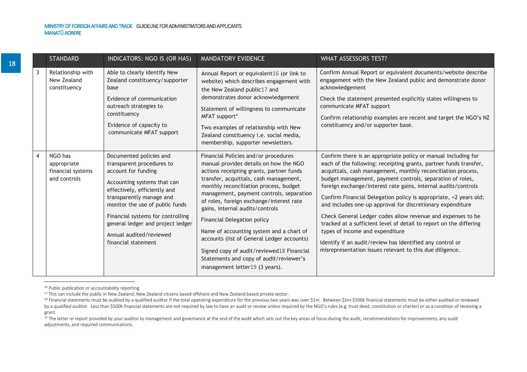|   | <b>STANDARD</b>                                             | INDICATORS: NGO IS (OR HAS)                                                                                                                                                                                                                                                                                                           | MANDATORY EVIDENCE                                                                                                                                                                                                                                                                                                                                                                                                                                                                                                                                                                           | <b>WHAT ASSESSORS TEST?</b>                                                                                                                                                                                                                                                                                                                                                                                                                                                                                                                                                                                                                                                                                                                                            |
|---|-------------------------------------------------------------|---------------------------------------------------------------------------------------------------------------------------------------------------------------------------------------------------------------------------------------------------------------------------------------------------------------------------------------|----------------------------------------------------------------------------------------------------------------------------------------------------------------------------------------------------------------------------------------------------------------------------------------------------------------------------------------------------------------------------------------------------------------------------------------------------------------------------------------------------------------------------------------------------------------------------------------------|------------------------------------------------------------------------------------------------------------------------------------------------------------------------------------------------------------------------------------------------------------------------------------------------------------------------------------------------------------------------------------------------------------------------------------------------------------------------------------------------------------------------------------------------------------------------------------------------------------------------------------------------------------------------------------------------------------------------------------------------------------------------|
| 3 | Relationship with<br>New Zealand<br>constituency            | Able to clearly identify New<br>Zealand constituency/supporter<br>base<br>Evidence of communication<br>outreach strategies to<br>constituency<br>Evidence of capacity to<br>communicate MFAT support                                                                                                                                  | Annual Report or equivalent16 (or link to<br>website) which describes engagement with<br>the New Zealand public17 and<br>demonstrates donor acknowledgement<br>Statement of willingness to communicate<br>MFAT support*<br>Two examples of relationship with New<br>Zealand constituency i.e. social media,<br>membership, supporter newsletters.                                                                                                                                                                                                                                            | Confirm Annual Report or equivalent documents/website describe<br>engagement with the New Zealand public and demonstrate donor<br>acknowledgement<br>Check the statement presented explicitly states willingness to<br>communicate MFAT support<br>Confirm relationship examples are recent and target the NGO's NZ<br>constituency and/or supporter base.                                                                                                                                                                                                                                                                                                                                                                                                             |
| 4 | NGO has<br>appropriate<br>financial systems<br>and controls | Documented policies and<br>transparent procedures to<br>account for funding<br>Accounting systems that can<br>effectively, efficiently and<br>transparently manage and<br>monitor the use of public funds<br>Financial systems for controlling<br>general ledger and project ledger<br>Annual audited/reviewed<br>financial statement | Financial Policies and/or procedures<br>manual provides details on how the NGO<br>actions receipting grants, partner funds<br>transfer, acquittals, cash management,<br>monthly reconciliation process, budget<br>management, payment controls, separation<br>of roles, foreign exchange/interest rate<br>gains, internal audits/controls<br>Financial Delegation policy<br>Name of accounting system and a chart of<br>accounts (list of General Ledger accounts)<br>Signed copy of audit/reviewed18 Financial<br>Statements and copy of audit/reviewer's<br>management letter19 (3 years). | Confirm there is an appropriate policy or manual including for<br>each of the following: receipting grants, partner funds transfer,<br>acquittals, cash management, monthly reconciliation process,<br>budget management, payment controls, separation of roles,<br>foreign exchange/interest rate gains, internal audits/controls<br>Confirm Financial Delegation policy is appropriate, <2 years old;<br>and includes one-up approval for discretionary expenditure<br>Check General Ledger codes allow revenue and expenses to be<br>tracked at a sufficient level of detail to report on the differing<br>types of income and expenditure<br>Identify if an audit/review has identified any control or<br>misrepresentation issues relevant to this due diligence. |

<sup>&</sup>lt;sup>16</sup> Public publication or accountability reporting.

<sup>&</sup>lt;sup>17</sup> This can include the public in New Zealand, New Zealand citizens based offshore and New Zealand based private sector.

<sup>&</sup>lt;sup>18</sup> Financial statements must be audited by a qualified auditor if the total operating expenditure for the previous two years was over \$1m. Between \$1m-\$500k financial statements must be either audited or reviewed by a qualified auditor. Less than \$500k financial statements are not required by law to have an audit or review unless required by the NGO's rules (e.g. trust deed, constitution or charter) or as a condition of receiving a grant.

<sup>&</sup>lt;sup>19</sup> The letter or report provided by your auditor to management and governance at the end of the audit which sets out the key areas of focus during the audit, recommendations for improvements, any audit adjustments, and required communications.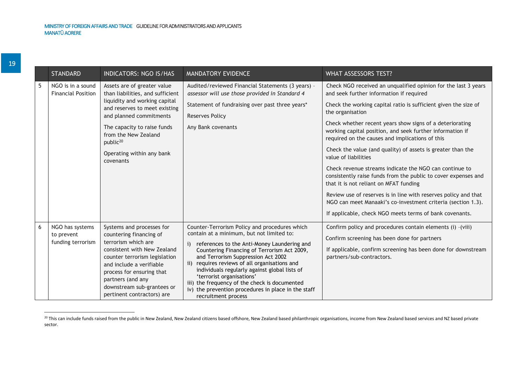|   | <b>STANDARD</b>                                    | <b>INDICATORS: NGO IS/HAS</b>                                                                                                                                                                                                                                                         | <b>MANDATORY EVIDENCE</b>                                                                                                                                                                                                                                                                                                                                                                                                                                                                | <b>WHAT ASSESSORS TEST?</b>                                                                                                                                                                                                                                                                                                                                                                                                                                                                                                                                                                                                                                                                                                                                                                                                              |
|---|----------------------------------------------------|---------------------------------------------------------------------------------------------------------------------------------------------------------------------------------------------------------------------------------------------------------------------------------------|------------------------------------------------------------------------------------------------------------------------------------------------------------------------------------------------------------------------------------------------------------------------------------------------------------------------------------------------------------------------------------------------------------------------------------------------------------------------------------------|------------------------------------------------------------------------------------------------------------------------------------------------------------------------------------------------------------------------------------------------------------------------------------------------------------------------------------------------------------------------------------------------------------------------------------------------------------------------------------------------------------------------------------------------------------------------------------------------------------------------------------------------------------------------------------------------------------------------------------------------------------------------------------------------------------------------------------------|
| 5 | NGO is in a sound<br><b>Financial Position</b>     | Assets are of greater value<br>than liabilities, and sufficient<br>liquidity and working capital<br>and reserves to meet existing<br>and planned commitments<br>The capacity to raise funds<br>from the New Zealand<br>public <sup>20</sup><br>Operating within any bank<br>covenants | Audited/reviewed Financial Statements (3 years) -<br>assessor will use those provided in Standard 4<br>Statement of fundraising over past three years*<br><b>Reserves Policy</b><br>Any Bank covenants                                                                                                                                                                                                                                                                                   | Check NGO received an unqualified opinion for the last 3 years<br>and seek further information if required<br>Check the working capital ratio is sufficient given the size of<br>the organisation<br>Check whether recent years show signs of a deteriorating<br>working capital position, and seek further information if<br>required on the causes and implications of this<br>Check the value (and quality) of assets is greater than the<br>value of liabilities<br>Check revenue streams indicate the NGO can continue to<br>consistently raise funds from the public to cover expenses and<br>that it is not reliant on MFAT funding<br>Review use of reserves is in line with reserves policy and that<br>NGO can meet Manaaki's co-investment criteria (section 1.3).<br>If applicable, check NGO meets terms of bank covenants. |
| 6 | NGO has systems<br>to prevent<br>funding terrorism | Systems and processes for<br>countering financing of<br>terrorism which are<br>consistent with New Zealand<br>counter terrorism legislation<br>and include a verifiable<br>process for ensuring that<br>partners (and any<br>downstream sub-grantees or<br>pertinent contractors) are | Counter-Terrorism Policy and procedures which<br>contain at a minimum, but not limited to:<br>references to the Anti-Money Laundering and<br>Countering Financing of Terrorism Act 2009,<br>and Terrorism Suppression Act 2002<br>requires reviews of all organisations and<br>individuals regularly against global lists of<br>'terrorist organisations'<br>iii) the frequency of the check is documented<br>iv) the prevention procedures in place in the staff<br>recruitment process | Confirm policy and procedures contain elements (i) -(viii)<br>Confirm screening has been done for partners<br>If applicable, confirm screening has been done for downstream<br>partners/sub-contractors.                                                                                                                                                                                                                                                                                                                                                                                                                                                                                                                                                                                                                                 |

 $^{20}$  This can include funds raised from the public in New Zealand, New Zealand citizens based offshore, New Zealand based philanthropic organisations, income from New Zealand based services and NZ based private sector.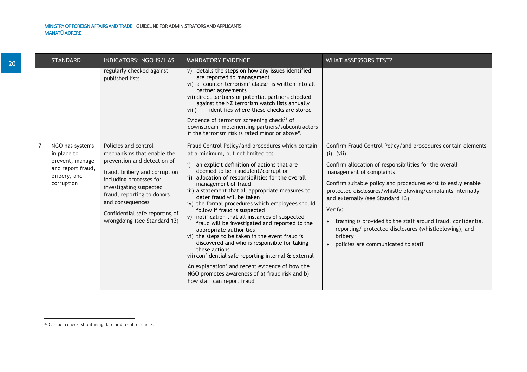|                | <b>STANDARD</b>                                                                                      | <b>INDICATORS: NGO IS/HAS</b>                                                                                                                                                                                                                                                                | <b>MANDATORY EVIDENCE</b>                                                                                                                                                                                                                                                                                                                                                                                                                                                                                                                                                                                                                                                                                                                                                                                                                                                | WHAT ASSESSORS TEST?                                                                                                                                                                                                                                                                                                                                                                                                                                                                                                                       |
|----------------|------------------------------------------------------------------------------------------------------|----------------------------------------------------------------------------------------------------------------------------------------------------------------------------------------------------------------------------------------------------------------------------------------------|--------------------------------------------------------------------------------------------------------------------------------------------------------------------------------------------------------------------------------------------------------------------------------------------------------------------------------------------------------------------------------------------------------------------------------------------------------------------------------------------------------------------------------------------------------------------------------------------------------------------------------------------------------------------------------------------------------------------------------------------------------------------------------------------------------------------------------------------------------------------------|--------------------------------------------------------------------------------------------------------------------------------------------------------------------------------------------------------------------------------------------------------------------------------------------------------------------------------------------------------------------------------------------------------------------------------------------------------------------------------------------------------------------------------------------|
|                |                                                                                                      | regularly checked against<br>published lists                                                                                                                                                                                                                                                 | v) details the steps on how any issues identified<br>are reported to management<br>vi) a 'counter-terrorism' clause is written into all<br>partner agreements<br>vii) direct partners or potential partners checked<br>against the NZ terrorism watch lists annually<br>identifies where these checks are stored<br>viii)<br>Evidence of terrorism screening check $21$ of<br>downstream implementing partners/subcontractors<br>if the terrorism risk is rated minor or above*.                                                                                                                                                                                                                                                                                                                                                                                         |                                                                                                                                                                                                                                                                                                                                                                                                                                                                                                                                            |
| $\overline{7}$ | NGO has systems<br>in place to<br>prevent, manage<br>and report fraud,<br>bribery, and<br>corruption | Policies and control<br>mechanisms that enable the<br>prevention and detection of<br>fraud, bribery and corruption<br>including processes for<br>investigating suspected<br>fraud, reporting to donors<br>and consequences<br>Confidential safe reporting of<br>wrongdoing (see Standard 13) | Fraud Control Policy/and procedures which contain<br>at a minimum, but not limited to:<br>an explicit definition of actions that are<br>deemed to be fraudulent/corruption<br>ii) allocation of responsibilities for the overall<br>management of fraud<br>iii) a statement that all appropriate measures to<br>deter fraud will be taken<br>iv) the formal procedures which employees should<br>follow if fraud is suspected<br>notification that all instances of suspected<br>fraud will be investigated and reported to the<br>appropriate authorities<br>vi) the steps to be taken in the event fraud is<br>discovered and who is responsible for taking<br>these actions<br>vii) confidential safe reporting internal & external<br>An explanation* and recent evidence of how the<br>NGO promotes awareness of a) fraud risk and b)<br>how staff can report fraud | Confirm Fraud Control Policy/and procedures contain elements<br>$(i) - (vii)$<br>Confirm allocation of responsibilities for the overall<br>management of complaints<br>Confirm suitable policy and procedures exist to easily enable<br>protected disclosures/whistle blowing/complaints internally<br>and externally (see Standard 13)<br>Verify:<br>training is provided to the staff around fraud, confidential<br>reporting/ protected disclosures (whistleblowing), and<br>bribery<br>policies are communicated to staff<br>$\bullet$ |

<sup>&</sup>lt;sup>21</sup> Can be a checklist outlining date and result of check.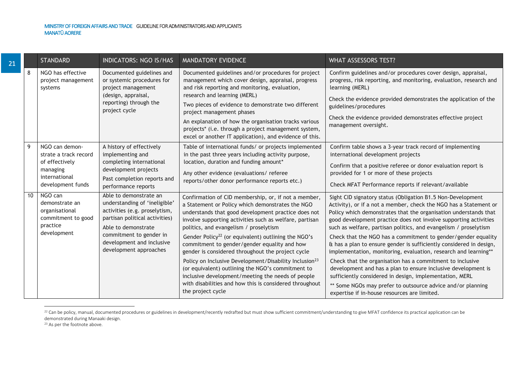| 21 |    | <b>STANDARD</b>                                                                                             | <b>INDICATORS: NGO IS/HAS</b>                                                                                                                                                                                                       | <b>MANDATORY EVIDENCE</b>                                                                                                                                                                                                                                                                                                                                                                                                                                                                                                                                                                                                                                                                                    | WHAT ASSESSORS TEST?                                                                                                                                                                                                                                                                                                                                                                                                                                                                                                                                                                                                                                                                                                                                                                                                                                            |
|----|----|-------------------------------------------------------------------------------------------------------------|-------------------------------------------------------------------------------------------------------------------------------------------------------------------------------------------------------------------------------------|--------------------------------------------------------------------------------------------------------------------------------------------------------------------------------------------------------------------------------------------------------------------------------------------------------------------------------------------------------------------------------------------------------------------------------------------------------------------------------------------------------------------------------------------------------------------------------------------------------------------------------------------------------------------------------------------------------------|-----------------------------------------------------------------------------------------------------------------------------------------------------------------------------------------------------------------------------------------------------------------------------------------------------------------------------------------------------------------------------------------------------------------------------------------------------------------------------------------------------------------------------------------------------------------------------------------------------------------------------------------------------------------------------------------------------------------------------------------------------------------------------------------------------------------------------------------------------------------|
|    | 8  | NGO has effective<br>project management<br>systems                                                          | Documented guidelines and<br>or systemic procedures for<br>project management<br>(design, appraisal,<br>reporting) through the<br>project cycle                                                                                     | Documented guidelines and/or procedures for project<br>management which cover design, appraisal, progress<br>and risk reporting and monitoring, evaluation,<br>research and learning (MERL)<br>Two pieces of evidence to demonstrate two different<br>project management phases<br>An explanation of how the organisation tracks various<br>projects* (i.e. through a project management system,<br>excel or another IT application), and evidence of this.                                                                                                                                                                                                                                                  | Confirm guidelines and/or procedures cover design, appraisal,<br>progress, risk reporting, and monitoring, evaluation, research and<br>learning (MERL)<br>Check the evidence provided demonstrates the application of the<br>guidelines/procedures<br>Check the evidence provided demonstrates effective project<br>management oversight.                                                                                                                                                                                                                                                                                                                                                                                                                                                                                                                       |
|    | 9  | NGO can demon-<br>strate a track record<br>of effectively<br>managing<br>international<br>development funds | A history of effectively<br>implementing and<br>completing international<br>development projects<br>Past completion reports and<br>performance reports                                                                              | Table of international funds/ or projects implemented<br>in the past three years including activity purpose,<br>location, duration and funding amount*<br>Any other evidence (evaluations/ referee<br>reports/other donor performance reports etc.)                                                                                                                                                                                                                                                                                                                                                                                                                                                          | Confirm table shows a 3-year track record of implementing<br>international development projects<br>Confirm that a positive referee or donor evaluation report is<br>provided for 1 or more of these projects<br>Check MFAT Performance reports if relevant/available                                                                                                                                                                                                                                                                                                                                                                                                                                                                                                                                                                                            |
|    | 10 | NGO can<br>demonstrate an<br>organisational<br>commitment to good<br>practice<br>development                | Able to demonstrate an<br>understanding of 'ineligible'<br>activities (e.g. proselytism,<br>partisan political activities)<br>Able to demonstrate<br>commitment to gender in<br>development and inclusive<br>development approaches | Confirmation of CID membership, or, if not a member,<br>a Statement or Policy which demonstrates the NGO<br>understands that good development practice does not<br>involve supporting activities such as welfare, partisan<br>politics, and evangelism / proselytism<br>Gender Policy <sup>22</sup> (or equivalent) outlining the NGO's<br>commitment to gender/gender equality and how<br>gender is considered throughout the project cycle<br>Policy on Inclusive Development/Disability Inclusion <sup>23</sup><br>(or equivalent) outlining the NGO's commitment to<br>inclusive development/meeting the needs of people<br>with disabilities and how this is considered throughout<br>the project cycle | Sight CID signatory status (Obligation B1.5 Non-Development<br>Activity), or if a not a member, check the NGO has a Statement or<br>Policy which demonstrates that the organisation understands that<br>good development practice does not involve supporting activities<br>such as welfare, partisan politics, and evangelism / proselytism<br>Check that the NGO has a commitment to gender/gender equality<br>& has a plan to ensure gender is sufficiently considered in design,<br>implementation, monitoring, evaluation, research and learning**<br>Check that the organisation has a commitment to inclusive<br>development and has a plan to ensure inclusive development is<br>sufficiently considered in design, implementation, MERL<br>** Some NGOs may prefer to outsource advice and/or planning<br>expertise if in-house resources are limited. |

 $^{22}$  Can be policy, manual, documented procedures or guidelines in development/recently redrafted but must show sufficient commitment/understanding to give MFAT confidence its practical application can be demonstrated during Manaaki design.

<sup>&</sup>lt;sup>23</sup> As per the footnote above.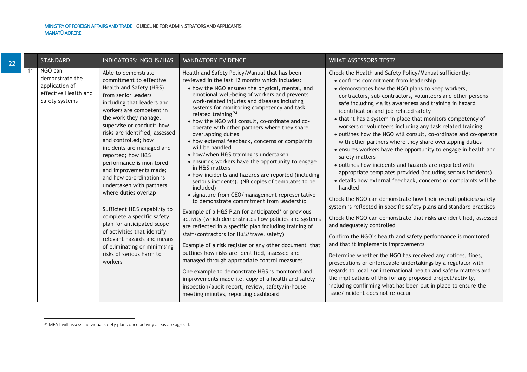| 22 |    | <b>STANDARD</b>                                                                        | <b>INDICATORS: NGO IS/HAS</b>                                                                                                                                                                                                                                                                                                                                                                                                                                                                                                                                                                                                                                                                     | <b>MANDATORY EVIDENCE</b>                                                                                                                                                                                                                                                                                                                                                                                                                                                                                                                                                                                                                                                                                                                                                                                                                                                                                                                                                                                                                                                                                                                                                                                                                                                                                                                                                                                                                            | <b>WHAT ASSESSORS TEST?</b>                                                                                                                                                                                                                                                                                                                                                                                                                                                                                                                                                                                                                                                                                                                                                                                                                                                                                                                                                                                                                                                                                                                                                                                                                                                                                                                                                                                                                                                                                                                                                                            |
|----|----|----------------------------------------------------------------------------------------|---------------------------------------------------------------------------------------------------------------------------------------------------------------------------------------------------------------------------------------------------------------------------------------------------------------------------------------------------------------------------------------------------------------------------------------------------------------------------------------------------------------------------------------------------------------------------------------------------------------------------------------------------------------------------------------------------|------------------------------------------------------------------------------------------------------------------------------------------------------------------------------------------------------------------------------------------------------------------------------------------------------------------------------------------------------------------------------------------------------------------------------------------------------------------------------------------------------------------------------------------------------------------------------------------------------------------------------------------------------------------------------------------------------------------------------------------------------------------------------------------------------------------------------------------------------------------------------------------------------------------------------------------------------------------------------------------------------------------------------------------------------------------------------------------------------------------------------------------------------------------------------------------------------------------------------------------------------------------------------------------------------------------------------------------------------------------------------------------------------------------------------------------------------|--------------------------------------------------------------------------------------------------------------------------------------------------------------------------------------------------------------------------------------------------------------------------------------------------------------------------------------------------------------------------------------------------------------------------------------------------------------------------------------------------------------------------------------------------------------------------------------------------------------------------------------------------------------------------------------------------------------------------------------------------------------------------------------------------------------------------------------------------------------------------------------------------------------------------------------------------------------------------------------------------------------------------------------------------------------------------------------------------------------------------------------------------------------------------------------------------------------------------------------------------------------------------------------------------------------------------------------------------------------------------------------------------------------------------------------------------------------------------------------------------------------------------------------------------------------------------------------------------------|
|    | 11 | NGO can<br>demonstrate the<br>application of<br>effective Health and<br>Safety systems | Able to demonstrate<br>commitment to effective<br>Health and Safety (H&S)<br>from senior leaders<br>including that leaders and<br>workers are competent in<br>the work they manage,<br>supervise or conduct; how<br>risks are identified, assessed<br>and controlled; how<br>incidents are managed and<br>reported; how H&S<br>performance is monitored<br>and improvements made;<br>and how co-ordination is<br>undertaken with partners<br>where duties overlap<br>Sufficient H&S capability to<br>complete a specific safety<br>plan for anticipated scope<br>of activities that identify<br>relevant hazards and means<br>of eliminating or minimising<br>risks of serious harm to<br>workers | Health and Safety Policy/Manual that has been<br>reviewed in the last 12 months which includes:<br>• how the NGO ensures the physical, mental, and<br>emotional well-being of workers and prevents<br>work-related injuries and diseases including<br>systems for monitoring competency and task<br>related training 24<br>• how the NGO will consult, co-ordinate and co-<br>operate with other partners where they share<br>overlapping duties<br>• how external feedback, concerns or complaints<br>will be handled<br>• how/when H&S training is undertaken<br>• ensuring workers have the opportunity to engage<br>in H&S matters<br>• how incidents and hazards are reported (including<br>serious incidents). (NB copies of templates to be<br>included)<br>• signature from CEO/management representative<br>to demonstrate commitment from leadership<br>Example of a H&S Plan for anticipated* or previous<br>activity (which demonstrates how policies and systems<br>are reflected in a specific plan including training of<br>staff/contractors for H&S/travel safety)<br>Example of a risk register or any other document that<br>outlines how risks are identified, assessed and<br>managed through appropriate control measures<br>One example to demonstrate H&S is monitored and<br>improvements made i.e. copy of a health and safety<br>inspection/audit report, review, safety/in-house<br>meeting minutes, reporting dashboard | Check the Health and Safety Policy/Manual sufficiently:<br>• confirms commitment from leadership<br>• demonstrates how the NGO plans to keep workers,<br>contractors, sub-contractors, volunteers and other persons<br>safe including via its awareness and training in hazard<br>identification and job related safety<br>• that it has a system in place that monitors competency of<br>workers or volunteers including any task related training<br>• outlines how the NGO will consult, co-ordinate and co-operate<br>with other partners where they share overlapping duties<br>• ensures workers have the opportunity to engage in health and<br>safety matters<br>• outlines how incidents and hazards are reported with<br>appropriate templates provided (including serious incidents)<br>· details how external feedback, concerns or complaints will be<br>handled<br>Check the NGO can demonstrate how their overall policies/safety<br>system is reflected in specific safety plans and standard practises<br>Check the NGO can demonstrate that risks are identified, assessed<br>and adequately controlled<br>Confirm the NGO's health and safety performance is monitored<br>and that it implements improvements<br>Determine whether the NGO has received any notices, fines,<br>prosecutions or enforceable undertakings by a regulator with<br>regards to local /or international health and safety matters and<br>the implications of this for any proposed project/activity,<br>including confirming what has been put in place to ensure the<br>issue/incident does not re-occur |

<sup>&</sup>lt;sup>24</sup> MFAT will assess individual safety plans once activity areas are agreed.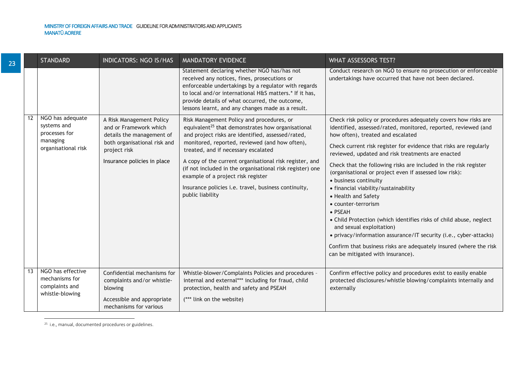23

|    | <b>STANDARD</b>                                                                     | <b>INDICATORS: NGO IS/HAS</b>                                                                                                                                  | <b>MANDATORY EVIDENCE</b>                                                                                                                                                                                                                                                                                                                                                                                                                                                                          | <b>WHAT ASSESSORS TEST?</b>                                                                                                                                                                                                                                                                                                                                                                                                                                                                                                                                                                                                                                                                                                                                                                                                                |
|----|-------------------------------------------------------------------------------------|----------------------------------------------------------------------------------------------------------------------------------------------------------------|----------------------------------------------------------------------------------------------------------------------------------------------------------------------------------------------------------------------------------------------------------------------------------------------------------------------------------------------------------------------------------------------------------------------------------------------------------------------------------------------------|--------------------------------------------------------------------------------------------------------------------------------------------------------------------------------------------------------------------------------------------------------------------------------------------------------------------------------------------------------------------------------------------------------------------------------------------------------------------------------------------------------------------------------------------------------------------------------------------------------------------------------------------------------------------------------------------------------------------------------------------------------------------------------------------------------------------------------------------|
|    |                                                                                     |                                                                                                                                                                | Statement declaring whether NGO has/has not<br>received any notices, fines, prosecutions or<br>enforceable undertakings by a regulator with regards<br>to local and/or international H&S matters.* If it has,<br>provide details of what occurred, the outcome,<br>lessons learnt, and any changes made as a result.                                                                                                                                                                               | Conduct research on NGO to ensure no prosecution or enforceable<br>undertakings have occurred that have not been declared.                                                                                                                                                                                                                                                                                                                                                                                                                                                                                                                                                                                                                                                                                                                 |
| 12 | NGO has adequate<br>systems and<br>processes for<br>managing<br>organisational risk | A Risk Management Policy<br>and or Framework which<br>details the management of<br>both organisational risk and<br>project risk<br>Insurance policies in place | Risk Management Policy and procedures, or<br>equivalent <sup>25</sup> that demonstrates how organisational<br>and project risks are identified, assessed/rated,<br>monitored, reported, reviewed (and how often),<br>treated, and if necessary escalated<br>A copy of the current organisational risk register, and<br>(if not included in the organisational risk register) one<br>example of a project risk register<br>Insurance policies i.e. travel, business continuity,<br>public liability | Check risk policy or procedures adequately covers how risks are<br>identified, assessed/rated, monitored, reported, reviewed (and<br>how often), treated and escalated<br>Check current risk register for evidence that risks are regularly<br>reviewed, updated and risk treatments are enacted<br>Check that the following risks are included in the risk register<br>(organisational or project even if assessed low risk):<br>· business continuity<br>• financial viability/sustainability<br>• Health and Safety<br>• counter-terrorism<br>• PSEAH<br>• Child Protection (which identifies risks of child abuse, neglect<br>and sexual exploitation)<br>• privacy/information assurance/IT security (i.e., cyber-attacks)<br>Confirm that business risks are adequately insured (where the risk<br>can be mitigated with insurance). |
| 13 | NGO has effective<br>mechanisms for<br>complaints and<br>whistle-blowing            | Confidential mechanisms for<br>complaints and/or whistle-<br>blowing<br>Accessible and appropriate<br>mechanisms for various                                   | Whistle-blower/Complaints Policies and procedures -<br>internal and external*** including for fraud, child<br>protection, health and safety and PSEAH<br>(*** link on the website)                                                                                                                                                                                                                                                                                                                 | Confirm effective policy and procedures exist to easily enable<br>protected disclosures/whistle blowing/complaints internally and<br>externally                                                                                                                                                                                                                                                                                                                                                                                                                                                                                                                                                                                                                                                                                            |

 25 i.e., manual, documented procedures or guidelines.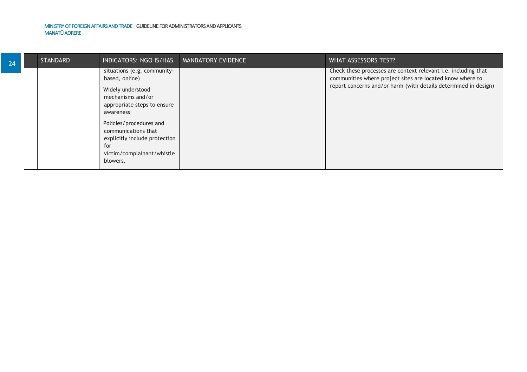#### MINISTRY OF FOREIGN AFFAIRS AND TRADE GUIDELINE FOR ADMINISTRATORS AND APPLICANTS MANATŪ AORERE

| 24 | STANDARD | INDICATORS: NGO IS/HAS                                                                                                                                                                                                                                                  | MANDATORY EVIDENCE | WHAT ASSESSORS TEST?                                                                                                                                                                           |
|----|----------|-------------------------------------------------------------------------------------------------------------------------------------------------------------------------------------------------------------------------------------------------------------------------|--------------------|------------------------------------------------------------------------------------------------------------------------------------------------------------------------------------------------|
|    |          | situations (e.g. community-<br>based, online)<br>Widely understood<br>mechanisms and/or<br>appropriate steps to ensure<br>awareness<br>Policies/procedures and<br>communications that<br>explicitly include protection<br>for<br>victim/complainant/whistle<br>blowers. |                    | Check these processes are context relevant i.e. including that<br>communities where project sites are located know where to<br>report concerns and/or harm (with details determined in design) |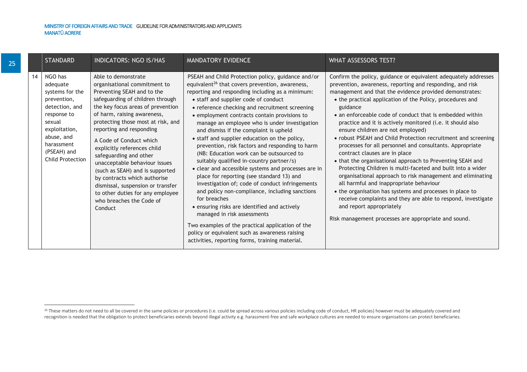25

| <b>STANDARD</b>                                                                                                                                                                               | <b>INDICATORS: NGO IS/HAS</b>                                                                                                                                                                                                                                                                                                                                                                                                                                                                                                                                       | MANDATORY EVIDENCE                                                                                                                                                                                                                                                                                                                                                                                                                                                                                                                                                                                                                                                                                                                                                                                                                                                                                                                                                                                                                                                      | WHAT ASSESSORS TEST?                                                                                                                                                                                                                                                                                                                                                                                                                                                                                                                                                                                                                                                                                                                                                                                                                                                                                                                                                                                                                               |
|-----------------------------------------------------------------------------------------------------------------------------------------------------------------------------------------------|---------------------------------------------------------------------------------------------------------------------------------------------------------------------------------------------------------------------------------------------------------------------------------------------------------------------------------------------------------------------------------------------------------------------------------------------------------------------------------------------------------------------------------------------------------------------|-------------------------------------------------------------------------------------------------------------------------------------------------------------------------------------------------------------------------------------------------------------------------------------------------------------------------------------------------------------------------------------------------------------------------------------------------------------------------------------------------------------------------------------------------------------------------------------------------------------------------------------------------------------------------------------------------------------------------------------------------------------------------------------------------------------------------------------------------------------------------------------------------------------------------------------------------------------------------------------------------------------------------------------------------------------------------|----------------------------------------------------------------------------------------------------------------------------------------------------------------------------------------------------------------------------------------------------------------------------------------------------------------------------------------------------------------------------------------------------------------------------------------------------------------------------------------------------------------------------------------------------------------------------------------------------------------------------------------------------------------------------------------------------------------------------------------------------------------------------------------------------------------------------------------------------------------------------------------------------------------------------------------------------------------------------------------------------------------------------------------------------|
| NGO has<br>14<br>adequate<br>systems for the<br>prevention,<br>detection, and<br>response to<br>sexual<br>exploitation,<br>abuse, and<br>harassment<br>(PSEAH) and<br><b>Child Protection</b> | Able to demonstrate<br>organisational commitment to<br>Preventing SEAH and to the<br>safeguarding of children through<br>the key focus areas of prevention<br>of harm, raising awareness,<br>protecting those most at risk, and<br>reporting and responding<br>A Code of Conduct which<br>explicitly references child<br>safeguarding and other<br>unacceptable behaviour issues<br>(such as SEAH) and is supported<br>by contracts which authorise<br>dismissal, suspension or transfer<br>to other duties for any employee<br>who breaches the Code of<br>Conduct | PSEAH and Child Protection policy, guidance and/or<br>equivalent <sup>26</sup> that covers prevention, awareness,<br>reporting and responding including as a minimum:<br>• staff and supplier code of conduct<br>• reference checking and recruitment screening<br>• employment contracts contain provisions to<br>manage an employee who is under investigation<br>and dismiss if the complaint is upheld<br>• staff and supplier education on the policy,<br>prevention, risk factors and responding to harm<br>(NB: Education work can be outsourced to<br>suitably qualified in-country partner/s)<br>• clear and accessible systems and processes are in<br>place for reporting (see standard 13) and<br>investigation of; code of conduct infringements<br>and policy non-compliance, including sanctions<br>for breaches<br>• ensuring risks are identified and actively<br>managed in risk assessments<br>Two examples of the practical application of the<br>policy or equivalent such as awareness raising<br>activities, reporting forms, training material. | Confirm the policy, guidance or equivalent adequately addresses<br>prevention, awareness, reporting and responding, and risk<br>management and that the evidence provided demonstrates:<br>• the practical application of the Policy, procedures and<br>guidance<br>• an enforceable code of conduct that is embedded within<br>practice and it is actively monitored (i.e. it should also<br>ensure children are not employed)<br>• robust PSEAH and Child Protection recruitment and screening<br>processes for all personnel and consultants. Appropriate<br>contract clauses are in place<br>• that the organisational approach to Preventing SEAH and<br>Protecting Children is multi-faceted and built into a wider<br>organisational approach to risk management and eliminating<br>all harmful and inappropriate behaviour<br>• the organisation has systems and processes in place to<br>receive complaints and they are able to respond, investigate<br>and report appropriately<br>Risk management processes are appropriate and sound. |

<sup>&</sup>lt;sup>26</sup> These matters do not need to all be covered in the same policies or procedures (i.e. could be spread across various policies including code of conduct, HR policies) however must be adequately covered and recognition is needed that the obligation to protect beneficiaries extends beyond illegal activity e.g. harassment-free and safe workplace cultures are needed to ensure organisations can protect beneficiaries.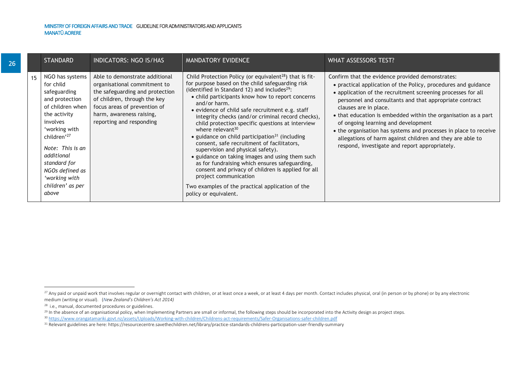|    | <b>STANDARD</b>                                                                                                                                                                                                                                                   | INDICATORS: NGO IS/HAS                                                                                                                                                                                                    | <b>MANDATORY EVIDENCE</b>                                                                                                                                                                                                                                                                                                                                                                                                                                                                                                                                                                                                                                                                                                                                                                                                                                                     | WHAT ASSESSORS TEST?                                                                                                                                                                                                                                                                                                                                                                                                                                                                                                                                               |
|----|-------------------------------------------------------------------------------------------------------------------------------------------------------------------------------------------------------------------------------------------------------------------|---------------------------------------------------------------------------------------------------------------------------------------------------------------------------------------------------------------------------|-------------------------------------------------------------------------------------------------------------------------------------------------------------------------------------------------------------------------------------------------------------------------------------------------------------------------------------------------------------------------------------------------------------------------------------------------------------------------------------------------------------------------------------------------------------------------------------------------------------------------------------------------------------------------------------------------------------------------------------------------------------------------------------------------------------------------------------------------------------------------------|--------------------------------------------------------------------------------------------------------------------------------------------------------------------------------------------------------------------------------------------------------------------------------------------------------------------------------------------------------------------------------------------------------------------------------------------------------------------------------------------------------------------------------------------------------------------|
| 15 | NGO has systems<br>for child<br>safeguarding<br>and protection<br>of children when<br>the activity<br>involves<br>'working with<br>children'27<br>Note: This is an<br>additional<br>standard for<br>NGOs defined as<br>'working with<br>children' as per<br>above | Able to demonstrate additional<br>organisational commitment to<br>the safeguarding and protection<br>of children, through the key<br>focus areas of prevention of<br>harm, awareness raising,<br>reporting and responding | Child Protection Policy (or equivalent <sup>28</sup> ) that is fit-<br>for purpose based on the child safeguarding risk<br>(identified in Standard 12) and includes <sup>29</sup> :<br>• child participants know how to report concerns<br>and/or harm.<br>· evidence of child safe recruitment e.g. staff<br>integrity checks (and/or criminal record checks),<br>child protection specific questions at interview<br>where relevant <sup>30</sup><br>$\bullet$ guidance on child participation <sup>31</sup> (including<br>consent, safe recruitment of facilitators,<br>supervision and physical safety).<br>• guidance on taking images and using them such<br>as for fundraising which ensures safeguarding,<br>consent and privacy of children is applied for all<br>project communication<br>Two examples of the practical application of the<br>policy or equivalent. | Confirm that the evidence provided demonstrates:<br>• practical application of the Policy, procedures and guidance<br>• application of the recruitment screening processes for all<br>personnel and consultants and that appropriate contract<br>clauses are in place.<br>• that education is embedded within the organisation as a part<br>of ongoing learning and development<br>• the organisation has systems and processes in place to receive<br>allegations of harm against children and they are able to<br>respond, investigate and report appropriately. |

 $^{27}$  Any paid or unpaid work that involves regular or overnight contact with children, or at least once a week, or at least 4 days per month. Contact includes physical, oral (in person or by phone) or by any electronic medium (writing or visual). (*New Zealand's Children's Act 2014)*

<sup>28</sup> i.e., manual, documented procedures or guidelines.

<sup>&</sup>lt;sup>29</sup> In the absence of an organisational policy, when Implementing Partners are small or informal, the following steps should be incorporated into the Activity design as project steps.

<sup>30</sup> [https://www.orangatamariki.govt.nz/assets/Uploads/Working-with-children/Childrens-act-requirements/Safer-Organisations-safer-children.pdf](https://urldefense.com/v3/__https:/www.orangatamariki.govt.nz/assets/Uploads/Working-with-children/Childrens-act-requirements/Safer-Organisations-safer-children.pdf__;!!DSXNDE5CDw!KoSENZrg-ln75nTn6vOCwCJZ52ZDv0x43J_qCgMG42cba-fYTcjunLyNHkIrq0H5mg$)

<sup>31</sup> Relevant guidelines are here: https://resourcecentre.savethechildren.net/library/practice-standards-childrens-participation-user-friendly-summary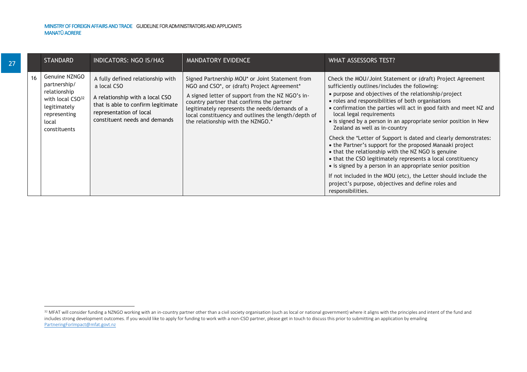| 27 |    | <b>STANDARD</b>                                                                                                                        | <b>INDICATORS: NGO IS/HAS</b>                                                                                                                                                         | <b>MANDATORY EVIDENCE</b>                                                                                                                                                                                                                                                                                                                     | WHAT ASSESSORS TEST?                                                                                                                                                                                                                                                                                                                                                                                                                                                                                                                                                                                                                                                                                                                                                                                                                                                                           |
|----|----|----------------------------------------------------------------------------------------------------------------------------------------|---------------------------------------------------------------------------------------------------------------------------------------------------------------------------------------|-----------------------------------------------------------------------------------------------------------------------------------------------------------------------------------------------------------------------------------------------------------------------------------------------------------------------------------------------|------------------------------------------------------------------------------------------------------------------------------------------------------------------------------------------------------------------------------------------------------------------------------------------------------------------------------------------------------------------------------------------------------------------------------------------------------------------------------------------------------------------------------------------------------------------------------------------------------------------------------------------------------------------------------------------------------------------------------------------------------------------------------------------------------------------------------------------------------------------------------------------------|
|    | 16 | Genuine NZNGO<br>partnership/<br>relationship<br>with local CSO <sup>32</sup><br>legitimately<br>representing<br>local<br>constituents | A fully defined relationship with<br>a local CSO<br>A relationship with a local CSO<br>that is able to confirm legitimate<br>representation of local<br>constituent needs and demands | Signed Partnership MOU* or Joint Statement from<br>NGO and CSO*, or (draft) Project Agreement*<br>A signed letter of support from the NZ NGO's in-<br>country partner that confirms the partner<br>legitimately represents the needs/demands of a<br>local constituency and outlines the length/depth of<br>the relationship with the NZNGO.* | Check the MOU/Joint Statement or (draft) Project Agreement<br>sufficiently outlines/includes the following:<br>• purpose and objectives of the relationship/project<br>• roles and responsibilities of both organisations<br>• confirmation the parties will act in good faith and meet NZ and<br>local legal requirements<br>• is signed by a person in an appropriate senior position in New<br>Zealand as well as in-country<br>Check the *Letter of Support is dated and clearly demonstrates:<br>• the Partner's support for the proposed Manaaki project<br>• that the relationship with the NZ NGO is genuine<br>• that the CSO legitimately represents a local constituency<br>• is signed by a person in an appropriate senior position<br>If not included in the MOU (etc), the Letter should include the<br>project's purpose, objectives and define roles and<br>responsibilities. |

 $32$  MFAT will consider funding a NZNGO working with an in-country partner other than a civil society organisation (such as local or national government) where it aligns with the principles and intent of the fund and includes strong development outcomes. If you would like to apply for funding to work with a non-CSO partner, please get in touch to discuss this prior to submitting an application by emailing [PartneringForImpact@mfat.govt.nz](mailto:PartneringForImpact@mfat.govt.nz)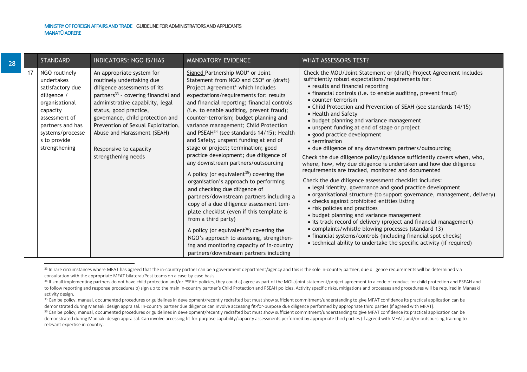| 28 | <b>STANDARD</b>                                                                                                                                                                        | <b>INDICATORS: NGO IS/HAS</b>                                                                                                                                                                                                                                                                                                                                     | <b>MANDATORY EVIDENCE</b>                                                                                                                                                                                                                                                                                                                                                                                                                                                                                                                                                                                                                                                                                                                                                                                                                                                                                                                                                                                                                                  | <b>WHAT ASSESSORS TEST?</b>                                                                                                                                                                                                                                                                                                                                                                                                                                                                                                                                                                                                                                                                                                                                                                                                                                                                                                                                                                                                                                                                                                                                                                                                                                                                                                                                                   |
|----|----------------------------------------------------------------------------------------------------------------------------------------------------------------------------------------|-------------------------------------------------------------------------------------------------------------------------------------------------------------------------------------------------------------------------------------------------------------------------------------------------------------------------------------------------------------------|------------------------------------------------------------------------------------------------------------------------------------------------------------------------------------------------------------------------------------------------------------------------------------------------------------------------------------------------------------------------------------------------------------------------------------------------------------------------------------------------------------------------------------------------------------------------------------------------------------------------------------------------------------------------------------------------------------------------------------------------------------------------------------------------------------------------------------------------------------------------------------------------------------------------------------------------------------------------------------------------------------------------------------------------------------|-------------------------------------------------------------------------------------------------------------------------------------------------------------------------------------------------------------------------------------------------------------------------------------------------------------------------------------------------------------------------------------------------------------------------------------------------------------------------------------------------------------------------------------------------------------------------------------------------------------------------------------------------------------------------------------------------------------------------------------------------------------------------------------------------------------------------------------------------------------------------------------------------------------------------------------------------------------------------------------------------------------------------------------------------------------------------------------------------------------------------------------------------------------------------------------------------------------------------------------------------------------------------------------------------------------------------------------------------------------------------------|
|    | NGO routinely<br>undertakes<br>satisfactory due<br>diligence /<br>organisational<br>capacity<br>assessment of<br>partners and has<br>systems/processe<br>s to provide<br>strengthening | An appropriate system for<br>routinely undertaking due<br>diligence assessments of its<br>partners <sup>33</sup> - covering financial and<br>administrative capability, legal<br>status, good practice,<br>governance, child protection and<br>Prevention of Sexual Exploitation,<br>Abuse and Harassment (SEAH)<br>Responsive to capacity<br>strengthening needs | Signed Partnership MOU* or Joint<br>Statement from NGO and CSO* or (draft)<br>Project Agreement* which includes<br>expectations/requirements for: results<br>and financial reporting; financial controls<br>(i.e. to enable auditing, prevent fraud);<br>counter-terrorism; budget planning and<br>variance management; Child Protection<br>and PSEAH <sup>34</sup> (see standards 14/15); Health<br>and Safety; unspent funding at end of<br>stage or project; termination; good<br>practice development; due diligence of<br>any downstream partners/outsourcing<br>A policy (or equivalent <sup>35</sup> ) covering the<br>organisation's approach to performing<br>and checking due diligence of<br>partners/downstream partners including a<br>copy of a due diligence assessment tem-<br>plate checklist (even if this template is<br>from a third party)<br>A policy (or equivalent <sup>36</sup> ) covering the<br>NGO's approach to assessing, strengthen-<br>ing and monitoring capacity of in-country<br>partners/downstream partners including | Check the MOU/Joint Statement or (draft) Project Agreement includes<br>sufficiently robust expectations/requirements for:<br>• results and financial reporting<br>• financial controls (i.e. to enable auditing, prevent fraud)<br>• counter-terrorism<br>• Child Protection and Prevention of SEAH (see standards 14/15)<br>• Health and Safety<br>• budget planning and variance management<br>• unspent funding at end of stage or project<br>· good practice development<br>$\bullet$ termination<br>• due diligence of any downstream partners/outsourcing<br>Check the due diligence policy/guidance sufficiently covers when, who,<br>where, how, why due diligence is undertaken and how due diligence<br>requirements are tracked, monitored and documented<br>Check the due diligence assessment checklist includes:<br>• legal identity, governance and good practice development<br>• organisational structure (to support governance, management, delivery)<br>• checks against prohibited entities listing<br>• risk policies and practices<br>• budget planning and variance management<br>• its track record of delivery (project and financial management)<br>• complaints/whistle blowing processes (standard 13)<br>• financial systems/controls (including financial spot checks)<br>• technical ability to undertake the specific activity (if required) |

<sup>&</sup>lt;sup>33</sup> In rare circumstances where MFAT has agreed that the in-country partner can be a government department/agency and this is the sole in-country partner, due diligence requirements will be determined via consultation with the appropriate MFAT bilateral/Post teams on a case-by-case basis.

<sup>&</sup>lt;sup>34</sup> If small implementing partners do not have child protection and/or PSEAH policies, they could a) agree as part of the MOU/joint statement/project agreement to a code of conduct for child protection and PSEAH and to follow reporting and response procedures b) sign up to the main in-country partner's Child Protection and PSEAH policies. Activity specific risks, mitigations and processes and procedures will be required in Manaaki activity design.

<sup>&</sup>lt;sup>35</sup> Can be policy, manual, documented procedures or guidelines in development/recently redrafted but must show sufficient commitment/understanding to give MFAT confidence its practical application can be demonstrated during Manaaki design appraisal. In-country partner due diligence can involve accessing fit-for-purpose due diligence performed by appropriate third parties (if agreed with MFAT).

<sup>36</sup> Can be policy, manual, documented procedures or guidelines in development/recently redrafted but must show sufficient commitment/understanding to give MFAT confidence its practical application can be demonstrated during Manaaki design appraisal. Can involve accessing fit-for-purpose capability/capacity assessments performed by appropriate third parties (if agreed with MFAT) and/or outsourcing training to relevant expertise in-country.